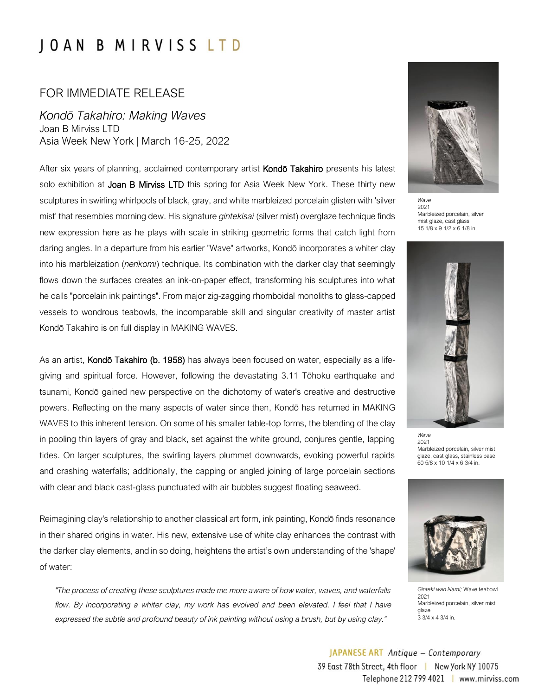## **JOAN B MIRVISS LTD**

## FOR IMMEDIATE RELEASE

*Kondō Takahiro: Making Waves*  Joan B Mirviss LTD Asia Week New York | March 16-25, 2022

After six years of planning, acclaimed contemporary artist **Kondō Takahiro** presents his latest solo exhibition at **Joan B Mirviss LTD** this spring for Asia Week New York. These thirty new sculptures in swirling whirlpools of black, gray, and white marbleized porcelain glisten with 'silver mist' that resembles morning dew. His signature *gintekisai* (silver mist) overglaze technique finds new expression here as he plays with scale in striking geometric forms that catch light from daring angles. In a departure from his earlier "Wave" artworks, Kondō incorporates a whiter clay into his marbleization (*nerikomi*) technique. Its combination with the darker clay that seemingly flows down the surfaces creates an ink-on-paper effect, transforming his sculptures into what he calls "porcelain ink paintings". From major zig-zagging rhomboidal monoliths to glass-capped vessels to wondrous teabowls, the incomparable skill and singular creativity of master artist Kondō Takahiro is on full display in MAKING WAVES.

As an artist, Kondō Takahiro (b. 1958) has always been focused on water, especially as a lifegiving and spiritual force. However, following the devastating 3.11 Tōhoku earthquake and tsunami, Kondō gained new perspective on the dichotomy of water's creative and destructive powers. Reflecting on the many aspects of water since then, Kondō has returned in MAKING WAVES to this inherent tension. On some of his smaller table-top forms, the blending of the clay in pooling thin layers of gray and black, set against the white ground, conjures gentle, lapping tides. On larger sculptures, the swirling layers plummet downwards, evoking powerful rapids and crashing waterfalls; additionally, the capping or angled joining of large porcelain sections with clear and black cast-glass punctuated with air bubbles suggest floating seaweed.

Reimagining clay's relationship to another classical art form, ink painting, Kondō finds resonance in their shared origins in water. His new, extensive use of white clay enhances the contrast with the darker clay elements, and in so doing, heightens the artist's own understanding of the 'shape' of water:

*"The process of creating these sculptures made me more aware of how water, waves, and waterfalls*  flow. By incorporating a whiter clay, my work has evolved and been elevated. I feel that I have *expressed the subtle and profound beauty of ink painting without using a brush, but by using clay."*



 *Wave* 2021 Marbleized porcelain, silver mist glaze, cast glass 15 1/8 x 9 1/2 x 6 1/8 in.



 *Wave* 2021 Marbleized porcelain, silver mist glaze, cast glass, stainless base 60 5/8 x 10 1/4 x 6 3/4 in.



 *Ginteki wan Nami;* Wave teabowl 2021 Marbleized porcelain, silver mist glaze 3 3/4 x 4 3/4 in.

JAPANESE ART Antique - Contemporary 39 East 78th Street, 4th floor | New York NY 10075 Telephone 212 799 4021 | www.mirviss.com